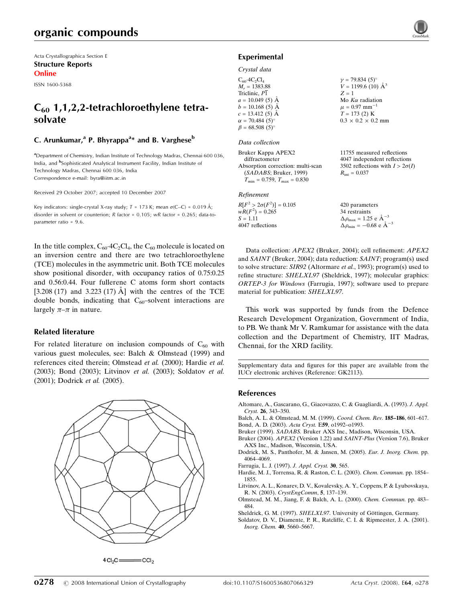Acta Crystallographica Section E Structure Reports Online

ISSN 1600-5368

## $C_{60}$  1,1,2,2-tetrachloroethylene tetrasolvate

### C. Arunkumar,<sup>a</sup> P. Bhyrappa<sup>a</sup>\* and B. Varghese<sup>b</sup>

<sup>a</sup> Department of Chemistry, Indian Institute of Technology Madras, Chennai 600 036, India, and <sup>b</sup>Sophisticated Analytical Instrument Facility, Indian Institute of Technology Madras, Chennai 600 036, India Correspondence e-mail: byra@iitm.ac.in

Received 29 October 2007; accepted 10 December 2007

Key indicators: single-crystal X-ray study;  $T = 173$  K; mean  $\sigma$ (C–C) = 0.019 Å; disorder in solvent or counterion; R factor = 0.105; wR factor = 0.265; data-toparameter ratio = 9.6.

In the title complex,  $C_{60}$  4 $C_2Cl_4$ , the  $C_{60}$  molecule is located on an inversion centre and there are two tetrachloroethylene (TCE) molecules in the asymmetric unit. Both TCE molecules show positional disorder, with occupancy ratios of 0.75:0.25 and 0.56:0.44. Four fullerene C atoms form short contacts [3.208 (17) and 3.223 (17)  $\AA$ ] with the centres of the TCE double bonds, indicating that  $C_{60}$ -solvent interactions are largely  $\pi-\pi$  in nature.

### Related literature

For related literature on inclusion compounds of  $C_{60}$  with various guest molecules, see: Balch & Olmstead (1999) and references cited therein; Olmstead et al. (2000); Hardie et al. (2003); Bond (2003); Litvinov et al. (2003); Soldatov et al. (2001); Dodrick et al. (2005).



### Experimental

### Crystal data

| $C_{60}$ -4C <sub>2</sub> Cl <sub>4</sub> | $\gamma = 79.834(5)$ °         |
|-------------------------------------------|--------------------------------|
| $M_r = 1383.88$                           | $V = 1199.6$ (10) $\AA^3$      |
| Triclinic, P1                             | $Z = 1$                        |
| $a = 10.049(5)$ Å                         | Mo $K\alpha$ radiation         |
| $b = 10.168(5)$ Å                         | $\mu = 0.97$ mm <sup>-1</sup>  |
| $c = 13.412(5)$ Å                         | $T = 173(2)$ K                 |
| $\alpha = 70.484(5)$ °                    | $0.3 \times 0.2 \times 0.2$ mm |
| $\beta = 68.508(5)$ °                     |                                |
|                                           |                                |

#### Data collection

Bruker Kappa APEX2 diffractometer Absorption correction: multi-scan (SADABS; Bruker, 1999)  $T_{\text{min}} = 0.759$ ,  $T_{\text{max}} = 0.830$ 

#### Refinement

| $R[F^2 > 2\sigma(F^2)] = 0.105$ | 420 parameters                                     |
|---------------------------------|----------------------------------------------------|
| $wR(F^2) = 0.265$               | 34 restraints                                      |
| $S = 1.11$                      | $\Delta \rho_{\text{max}} = 1.25 \text{ e A}^{-3}$ |
| 4047 reflections                | $\Delta \rho_{\text{min}} = -0.68$ e $\AA^{-3}$    |

Data collection: APEX2 (Bruker, 2004); cell refinement: APEX2 and SAINT (Bruker, 2004); data reduction: SAINT; program(s) used to solve structure: SIR92 (Altormare et al., 1993); program(s) used to refine structure: SHELXL97 (Sheldrick, 1997); molecular graphics: ORTEP-3 for Windows (Farrugia, 1997); software used to prepare material for publication: SHELXL97.

11755 measured reflections 4047 independent reflections 3502 reflections with  $I > 2\sigma(I)$ 

 $R_{\rm int} = 0.037$ 

This work was supported by funds from the Defence Research Development Organization, Government of India, to PB. We thank Mr V. Ramkumar for assistance with the data collection and the Department of Chemistry, IIT Madras, Chennai, for the XRD facility.

Supplementary data and figures for this paper are available from the IUCr electronic archives (Reference: GK2113).

### References

- Altomare, A., Gascarano, G., Giacovazzo, C. & Guagliardi, A. (1993). J. Appl. Cryst. 26, 343–350.
- Balch, A. L. & Olmstead, M. M. (1999). Coord. Chem. Rev. 185–186, 601–617. Bond, A. D. (2003). Acta Cryst. E59, o1992–o1993.
- Bruker (1999). SADABS. Bruker AXS Inc., Madison, Wisconsin, USA.
- Bruker (2004). APEX2 (Version 1.22) and SAINT-Plus (Version 7.6), Bruker AXS Inc., Madison, Wisconsin, USA.
- Dodrick, M. S., Panthofer, M. & Jansen, M. (2005). Eur. J. Inorg. Chem. pp. 4064–4069.
- Farrugia, L. J. (1997). J. Appl. Cryst. 30, 565.
- Hardie, M. J., Torrensa, R. & Raston, C. L. (2003). Chem. Commun. pp. 1854– 1855.
- Litvinov, A. L., Konarev, D. V., Kovalevsky, A. Y., Coppens, P. & Lyubovskaya, R. N. (2003). CrystEngComm, 5, 137–139.
- Olmstead, M. M., Jiang, F. & Balch, A. L. (2000). Chem. Commun. pp. 483– 484.
- Sheldrick, G. M. (1997). SHELXL97. University of Göttingen, Germany.
- Soldatov, D. V., Diamente, P. R., Ratcliffe, C. I. & Ripmeester, J. A. (2001). Inorg. Chem. 40, 5660–5667.

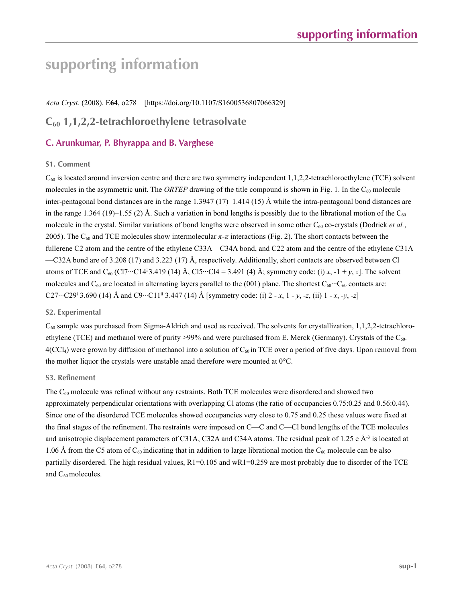# **supporting information**

*Acta Cryst.* (2008). E**64**, o278 [https://doi.org/10.1107/S1600536807066329]

### **C60 1,1,2,2-tetrachloroethylene tetrasolvate**

### **C. Arunkumar, P. Bhyrappa and B. Varghese**

### **S1. Comment**

 $C_{60}$  is located around inversion centre and there are two symmetry independent 1,1,2,2-tetrachloroethylene (TCE) solvent molecules in the asymmetric unit. The *ORTEP* drawing of the title compound is shown in Fig. 1. In the  $C_{60}$  molecule inter-pentagonal bond distances are in the range 1.3947 (17)–1.414 (15) Å while the intra-pentagonal bond distances are in the range 1.364 (19)–1.55 (2) Å. Such a variation in bond lengths is possibly due to the librational motion of the  $C_{60}$ molecule in the crystal. Similar variations of bond lengths were observed in some other  $C_{60}$  co-crystals (Dodrick *et al.*, 2005). The C<sub>60</sub> and TCE molecules show intermolecular  $\pi$ - $\pi$  interactions (Fig. 2). The short contacts between the fullerene C2 atom and the centre of the ethylene C33A—C34A bond, and C22 atom and the centre of the ethylene C31A  $-C32A$  bond are of 3.208 (17) and 3.223 (17) Å, respectively. Additionally, short contacts are observed between Cl atoms of TCE and C<sub>60</sub> (Cl7…C14<sup>i</sup> 3.419 (14) Å, Cl5…Cl4 = 3.491 (4) Å; symmetry code: (i) *x*,  $-1 + y$ , *z*]. The solvent molecules and  $C_{60}$  are located in alternating layers parallel to the (001) plane. The shortest  $C_{60}$  contacts are: C27…C29<sup>i</sup> 3.690 (14) Å and C9…C11<sup>ii</sup> 3.447 (14) Å [symmetry code: (i) 2 - *x*, 1 - *y*, -*z*, (ii) 1 - *x*, -*y*, -*z*]

### **S2. Experimental**

 $C_{60}$  sample was purchased from Sigma-Aldrich and used as received. The solvents for crystallization, 1,1,2,2-tetrachloroethylene (TCE) and methanol were of purity >99% and were purchased from E. Merck (Germany). Crystals of the C<sub>60</sub>.  $4(CCl<sub>4</sub>)$  were grown by diffusion of methanol into a solution of  $C<sub>60</sub>$  in TCE over a period of five days. Upon removal from the mother liquor the crystals were unstable anad therefore were mounted at  $0^{\circ}$ C.

### **S3. Refinement**

The  $C_{60}$  molecule was refined without any restraints. Both TCE molecules were disordered and showed two approximately perpendicular orientations with overlapping Cl atoms (the ratio of occupancies 0.75:0.25 and 0.56:0.44). Since one of the disordered TCE molecules showed occupancies very close to 0.75 and 0.25 these values were fixed at the final stages of the refinement. The restraints were imposed on C—C and C—Cl bond lengths of the TCE molecules and anisotropic displacement parameters of C31A, C32A and C34A atoms. The residual peak of 1.25 e  $\AA$ <sup>3</sup> is located at 1.06 Å from the C5 atom of  $C_{60}$  indicating that in addition to large librational motion the  $C_{60}$  molecule can be also partially disordered. The high residual values, R1=0.105 and wR1=0.259 are most probably due to disorder of the TCE and C<sub>60</sub> molecules.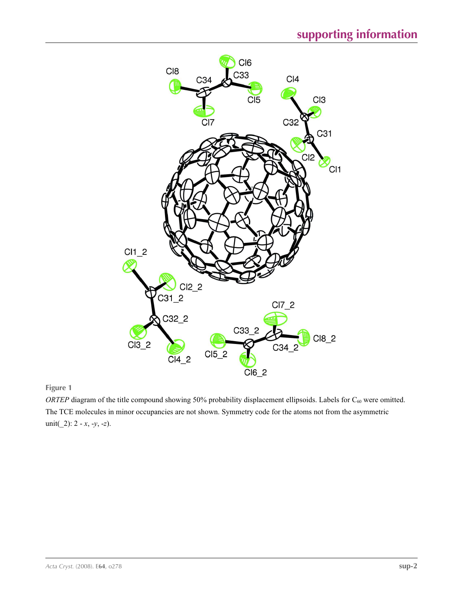

**Figure 1**

*ORTEP* diagram of the title compound showing 50% probability displacement ellipsoids. Labels for C<sub>60</sub> were omitted. The TCE molecules in minor occupancies are not shown. Symmetry code for the atoms not from the asymmetric unit(\_2): 2 - *x*, -*y*, -*z*).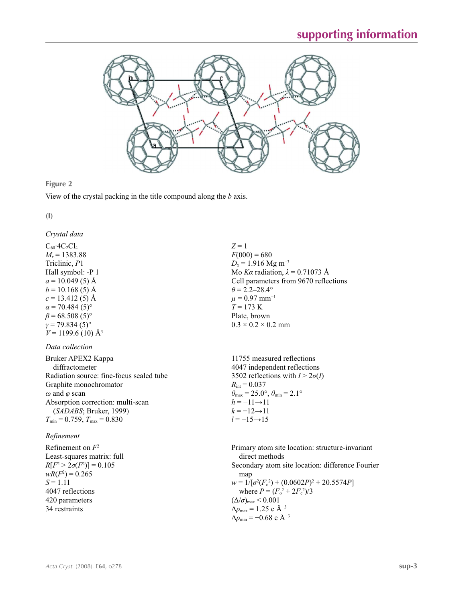

**Figure 2**

View of the crystal packing in the title compound along the *b* axis.

**(I)** 

*Crystal data*

 $C_{60}$ ·4 $C_2Cl_4$  $M_r = 1383.88$ Triclinic, *P*1 Hall symbol: -P 1  $a = 10.049(5)$  Å  $b = 10.168(5)$  Å  $c = 13.412(5)$  Å  $\alpha$  = 70.484 (5)<sup>°</sup>  $\beta$  = 68.508 (5)<sup>°</sup>  $γ = 79.834(5)°$  $V = 1199.6$  (10) Å<sup>3</sup>

### *Data collection*

| Bruker APEX2 Kappa                                 | 11755                   |
|----------------------------------------------------|-------------------------|
| diffractometer                                     | 4047 ir                 |
| Radiation source: fine-focus sealed tube           | $3502 \text{ re}$       |
| Graphite monochromator                             | $R_{\rm int}=0$         |
| $\omega$ and $\varphi$ scan                        | $\theta_{\text{max}}=2$ |
| Absorption correction: multi-scan                  | $h = -11$               |
| (SADABS; Bruker, 1999)                             | $k = -12$               |
| $T_{\text{min}}$ = 0.759, $T_{\text{max}}$ = 0.830 | $l = -15$               |

### *Refinement*

Refinement on *F*<sup>2</sup> Least-squares matrix: full  $R[F^2 > 2\sigma(F^2)] = 0.105$  $wR(F^2) = 0.265$  $S = 1.11$ 4047 reflections 420 parameters 34 restraints Primary atom site location: structure-invariant direct methods Secondary atom site location: difference Fourier map  $w = 1/[\sigma^2(F_o^2) + (0.0602P)^2 + 20.5574P]$ where  $P = (F_o^2 + 2F_c^2)/3$  $(\Delta/\sigma)_{\text{max}}$  < 0.001 Δ*ρ*max = 1.25 e Å−3  $\Delta\rho_{\text{min}} = -0.68$  e Å<sup>-3</sup>

 $Z = 1$  $F(000) = 680$  $D_x = 1.916$  Mg m<sup>-3</sup> Mo *Kα* radiation, *λ* = 0.71073 Å Cell parameters from 9670 reflections  $\theta$  = 2.2–28.4°  $\mu$  = 0.97 mm<sup>-1</sup>  $T = 173$  K Plate, brown  $0.3 \times 0.2 \times 0.2$  mm

measured reflections dependent reflections  $\text{eff}$  actions with  $I > 2\sigma(I)$  $.037$  $25.0^\circ$ ,  $\theta_{\min} = 2.1^\circ$  $\rightarrow$ 11  $2 \rightarrow 11$  $i \rightarrow 15$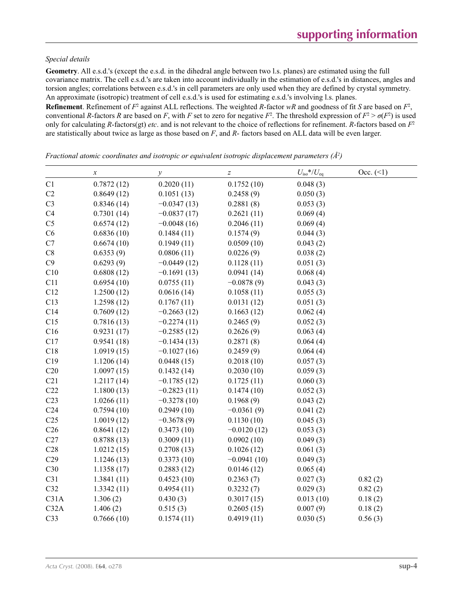### *Special details*

**Geometry**. All e.s.d.'s (except the e.s.d. in the dihedral angle between two l.s. planes) are estimated using the full covariance matrix. The cell e.s.d.'s are taken into account individually in the estimation of e.s.d.'s in distances, angles and torsion angles; correlations between e.s.d.'s in cell parameters are only used when they are defined by crystal symmetry. An approximate (isotropic) treatment of cell e.s.d.'s is used for estimating e.s.d.'s involving l.s. planes.

**Refinement**. Refinement of  $F^2$  against ALL reflections. The weighted R-factor wR and goodness of fit *S* are based on  $F^2$ , conventional *R*-factors *R* are based on *F*, with *F* set to zero for negative  $F^2$ . The threshold expression of  $F^2 > \sigma(F^2)$  is used only for calculating *R*-factors(gt) *etc*. and is not relevant to the choice of reflections for refinement. *R*-factors based on *F*<sup>2</sup> are statistically about twice as large as those based on *F*, and *R*- factors based on ALL data will be even larger.

|                 | $\boldsymbol{x}$ | $\mathcal{Y}$ | $\boldsymbol{Z}$ | $U_{\rm iso}$ */ $U_{\rm eq}$ | Occ. (2) |
|-----------------|------------------|---------------|------------------|-------------------------------|----------|
| C1              | 0.7872(12)       | 0.2020(11)    | 0.1752(10)       | 0.048(3)                      |          |
| C2              | 0.8649(12)       | 0.1051(13)    | 0.2458(9)        | 0.050(3)                      |          |
| C <sub>3</sub>  | 0.8346(14)       | $-0.0347(13)$ | 0.2881(8)        | 0.053(3)                      |          |
| C <sub>4</sub>  | 0.7301(14)       | $-0.0837(17)$ | 0.2621(11)       | 0.069(4)                      |          |
| C <sub>5</sub>  | 0.6574(12)       | $-0.0048(16)$ | 0.2046(11)       | 0.069(4)                      |          |
| C6              | 0.6836(10)       | 0.1484(11)    | 0.1574(9)        | 0.044(3)                      |          |
| C7              | 0.6674(10)       | 0.1949(11)    | 0.0509(10)       | 0.043(2)                      |          |
| C8              | 0.6353(9)        | 0.0806(11)    | 0.0226(9)        | 0.038(2)                      |          |
| C9              | 0.6293(9)        | $-0.0449(12)$ | 0.1128(11)       | 0.051(3)                      |          |
| C10             | 0.6808(12)       | $-0.1691(13)$ | 0.0941(14)       | 0.068(4)                      |          |
| C11             | 0.6954(10)       | 0.0755(11)    | $-0.0878(9)$     | 0.043(3)                      |          |
| C12             | 1.2500(12)       | 0.0616(14)    | 0.1058(11)       | 0.055(3)                      |          |
| C13             | 1.2598(12)       | 0.1767(11)    | 0.0131(12)       | 0.051(3)                      |          |
| C14             | 0.7609(12)       | $-0.2663(12)$ | 0.1663(12)       | 0.062(4)                      |          |
| C15             | 0.7816(13)       | $-0.2274(11)$ | 0.2465(9)        | 0.052(3)                      |          |
| C16             | 0.9231(17)       | $-0.2585(12)$ | 0.2626(9)        | 0.063(4)                      |          |
| C17             | 0.9541(18)       | $-0.1434(13)$ | 0.2871(8)        | 0.064(4)                      |          |
| C18             | 1.0919(15)       | $-0.1027(16)$ | 0.2459(9)        | 0.064(4)                      |          |
| C19             | 1.1206(14)       | 0.0448(15)    | 0.2018(10)       | 0.057(3)                      |          |
| C20             | 1.0097(15)       | 0.1432(14)    | 0.2030(10)       | 0.059(3)                      |          |
| C21             | 1.2117(14)       | $-0.1785(12)$ | 0.1725(11)       | 0.060(3)                      |          |
| C22             | 1.1800(13)       | $-0.2823(11)$ | 0.1474(10)       | 0.052(3)                      |          |
| C23             | 1.0266(11)       | $-0.3278(10)$ | 0.1968(9)        | 0.043(2)                      |          |
| C <sub>24</sub> | 0.7594(10)       | 0.2949(10)    | $-0.0361(9)$     | 0.041(2)                      |          |
| C <sub>25</sub> | 1.0019(12)       | $-0.3678(9)$  | 0.1130(10)       | 0.045(3)                      |          |
| C <sub>26</sub> | 0.8641(12)       | 0.3473(10)    | $-0.0120(12)$    | 0.053(3)                      |          |
| C27             | 0.8788(13)       | 0.3009(11)    | 0.0902(10)       | 0.049(3)                      |          |
| C28             | 1.0212(15)       | 0.2708(13)    | 0.1026(12)       | 0.061(3)                      |          |
| C29             | 1.1246(13)       | 0.3373(10)    | $-0.0941(10)$    | 0.049(3)                      |          |
| C30             | 1.1358(17)       | 0.2883(12)    | 0.0146(12)       | 0.065(4)                      |          |
| C31             | 1.3841(11)       | 0.4523(10)    | 0.2363(7)        | 0.027(3)                      | 0.82(2)  |
| C32             | 1.3342(11)       | 0.4954(11)    | 0.3232(7)        | 0.029(3)                      | 0.82(2)  |
| C31A            | 1.306(2)         | 0.430(3)      | 0.3017(15)       | 0.013(10)                     | 0.18(2)  |
| C32A            | 1.406(2)         | 0.515(3)      | 0.2605(15)       | 0.007(9)                      | 0.18(2)  |
| C <sub>33</sub> | 0.7666(10)       | 0.1574(11)    | 0.4919(11)       | 0.030(5)                      | 0.56(3)  |

*Fractional atomic coordinates and isotropic or equivalent isotropic displacement parameters (Å2 )*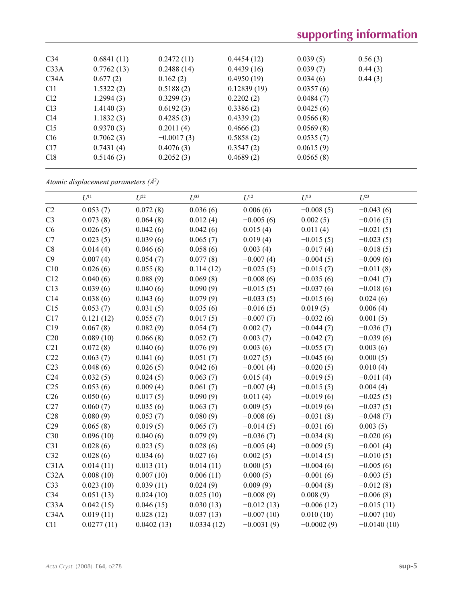| C <sub>34</sub> | 0.6841(11) | 0.2472(11)   | 0.4454(12)  | 0.039(5)  | 0.56(3) |
|-----------------|------------|--------------|-------------|-----------|---------|
| C33A            | 0.7762(13) | 0.2488(14)   | 0.4439(16)  | 0.039(7)  | 0.44(3) |
| C34A            | 0.677(2)   | 0.162(2)     | 0.4950(19)  | 0.034(6)  | 0.44(3) |
| C <sub>11</sub> | 1.5322(2)  | 0.5188(2)    | 0.12839(19) | 0.0357(6) |         |
| Cl <sub>2</sub> | 1.2994(3)  | 0.3299(3)    | 0.2202(2)   | 0.0484(7) |         |
| Cl <sub>3</sub> | 1.4140(3)  | 0.6192(3)    | 0.3386(2)   | 0.0425(6) |         |
| Cl4             | 1.1832(3)  | 0.4285(3)    | 0.4339(2)   | 0.0566(8) |         |
| Cl <sub>5</sub> | 0.9370(3)  | 0.2011(4)    | 0.4666(2)   | 0.0569(8) |         |
| Cl6             | 0.7062(3)  | $-0.0017(3)$ | 0.5858(2)   | 0.0535(7) |         |
| Cl7             | 0.7431(4)  | 0.4076(3)    | 0.3547(2)   | 0.0615(9) |         |
| C18             | 0.5146(3)  | 0.2052(3)    | 0.4689(2)   | 0.0565(8) |         |
|                 |            |              |             |           |         |

*Atomic displacement parameters (Å2 )*

|                 | $U^{11}$   | $U^{22}$   | $U^{33}$   | $U^{12}$     | $U^{13}$     | $U^{23}$      |
|-----------------|------------|------------|------------|--------------|--------------|---------------|
| C2              | 0.053(7)   | 0.072(8)   | 0.036(6)   | 0.006(6)     | $-0.008(5)$  | $-0.043(6)$   |
| C <sub>3</sub>  | 0.073(8)   | 0.064(8)   | 0.012(4)   | $-0.005(6)$  | 0.002(5)     | $-0.016(5)$   |
| C6              | 0.026(5)   | 0.042(6)   | 0.042(6)   | 0.015(4)     | 0.011(4)     | $-0.021(5)$   |
| C7              | 0.023(5)   | 0.039(6)   | 0.065(7)   | 0.019(4)     | $-0.015(5)$  | $-0.023(5)$   |
| C8              | 0.014(4)   | 0.046(6)   | 0.058(6)   | 0.003(4)     | $-0.017(4)$  | $-0.018(5)$   |
| C9              | 0.007(4)   | 0.054(7)   | 0.077(8)   | $-0.007(4)$  | $-0.004(5)$  | $-0.009(6)$   |
| C10             | 0.026(6)   | 0.055(8)   | 0.114(12)  | $-0.025(5)$  | $-0.015(7)$  | $-0.011(8)$   |
| C12             | 0.040(6)   | 0.088(9)   | 0.069(8)   | $-0.008(6)$  | $-0.035(6)$  | $-0.041(7)$   |
| C13             | 0.039(6)   | 0.040(6)   | 0.090(9)   | $-0.015(5)$  | $-0.037(6)$  | $-0.018(6)$   |
| C14             | 0.038(6)   | 0.043(6)   | 0.079(9)   | $-0.033(5)$  | $-0.015(6)$  | 0.024(6)      |
| C15             | 0.053(7)   | 0.031(5)   | 0.035(6)   | $-0.016(5)$  | 0.019(5)     | 0.006(4)      |
| C17             | 0.121(12)  | 0.055(7)   | 0.017(5)   | $-0.007(7)$  | $-0.032(6)$  | 0.001(5)      |
| C19             | 0.067(8)   | 0.082(9)   | 0.054(7)   | 0.002(7)     | $-0.044(7)$  | $-0.036(7)$   |
| C20             | 0.089(10)  | 0.066(8)   | 0.052(7)   | 0.003(7)     | $-0.042(7)$  | $-0.039(6)$   |
| C21             | 0.072(8)   | 0.040(6)   | 0.076(9)   | 0.003(6)     | $-0.055(7)$  | 0.003(6)      |
| C22             | 0.063(7)   | 0.041(6)   | 0.051(7)   | 0.027(5)     | $-0.045(6)$  | 0.000(5)      |
| C <sub>23</sub> | 0.048(6)   | 0.026(5)   | 0.042(6)   | $-0.001(4)$  | $-0.020(5)$  | 0.010(4)      |
| C <sub>24</sub> | 0.032(5)   | 0.024(5)   | 0.063(7)   | 0.015(4)     | $-0.019(5)$  | $-0.011(4)$   |
| C <sub>25</sub> | 0.053(6)   | 0.009(4)   | 0.061(7)   | $-0.007(4)$  | $-0.015(5)$  | 0.004(4)      |
| C <sub>26</sub> | 0.050(6)   | 0.017(5)   | 0.090(9)   | 0.011(4)     | $-0.019(6)$  | $-0.025(5)$   |
| C27             | 0.060(7)   | 0.035(6)   | 0.063(7)   | 0.009(5)     | $-0.019(6)$  | $-0.037(5)$   |
| C28             | 0.080(9)   | 0.053(7)   | 0.080(9)   | $-0.008(6)$  | $-0.031(8)$  | $-0.048(7)$   |
| C29             | 0.065(8)   | 0.019(5)   | 0.065(7)   | $-0.014(5)$  | $-0.031(6)$  | 0.003(5)      |
| C30             | 0.096(10)  | 0.040(6)   | 0.079(9)   | $-0.036(7)$  | $-0.034(8)$  | $-0.020(6)$   |
| C31             | 0.028(6)   | 0.023(5)   | 0.028(6)   | $-0.005(4)$  | $-0.009(5)$  | $-0.001(4)$   |
| C32             | 0.028(6)   | 0.034(6)   | 0.027(6)   | 0.002(5)     | $-0.014(5)$  | $-0.010(5)$   |
| C31A            | 0.014(11)  | 0.013(11)  | 0.014(11)  | 0.000(5)     | $-0.004(6)$  | $-0.005(6)$   |
| C32A            | 0.008(10)  | 0.007(10)  | 0.006(11)  | 0.000(5)     | $-0.001(6)$  | $-0.003(5)$   |
| C33             | 0.023(10)  | 0.039(11)  | 0.024(9)   | 0.009(9)     | $-0.004(8)$  | $-0.012(8)$   |
| C34             | 0.051(13)  | 0.024(10)  | 0.025(10)  | $-0.008(9)$  | 0.008(9)     | $-0.006(8)$   |
| C33A            | 0.042(15)  | 0.046(15)  | 0.030(13)  | $-0.012(13)$ | $-0.006(12)$ | $-0.015(11)$  |
| C34A            | 0.019(11)  | 0.028(12)  | 0.037(13)  | $-0.007(10)$ | 0.010(10)    | $-0.007(10)$  |
| C11             | 0.0277(11) | 0.0402(13) | 0.0334(12) | $-0.0031(9)$ | $-0.0002(9)$ | $-0.0140(10)$ |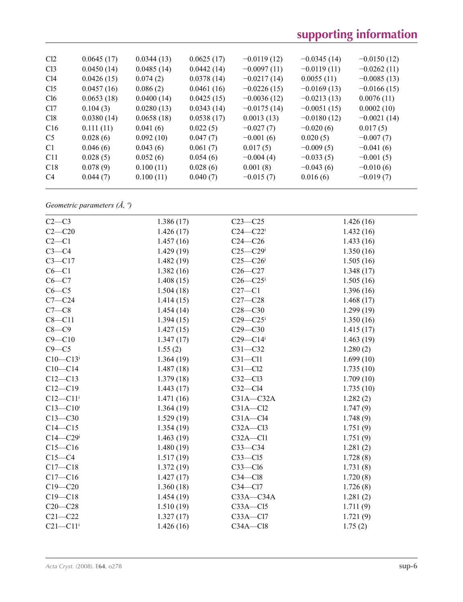# **supporting information**

| Cl <sub>2</sub> | 0.0645(17) | 0.0344(13) | 0.0625(17) | $-0.0119(12)$ | $-0.0345(14)$ | $-0.0150(12)$ |
|-----------------|------------|------------|------------|---------------|---------------|---------------|
| Cl <sub>3</sub> | 0.0450(14) | 0.0485(14) | 0.0442(14) | $-0.0097(11)$ | $-0.0119(11)$ | $-0.0262(11)$ |
| Cl4             | 0.0426(15) | 0.074(2)   | 0.0378(14) | $-0.0217(14)$ | 0.0055(11)    | $-0.0085(13)$ |
| Cl <sub>5</sub> | 0.0457(16) | 0.086(2)   | 0.0461(16) | $-0.0226(15)$ | $-0.0169(13)$ | $-0.0166(15)$ |
| Cl6             | 0.0653(18) | 0.0400(14) | 0.0425(15) | $-0.0036(12)$ | $-0.0213(13)$ | 0.0076(11)    |
| C <sub>17</sub> | 0.104(3)   | 0.0280(13) | 0.0343(14) | $-0.0175(14)$ | $-0.0051(15)$ | 0.0002(10)    |
| C18             | 0.0380(14) | 0.0658(18) | 0.0538(17) | 0.0013(13)    | $-0.0180(12)$ | $-0.0021(14)$ |
| C16             | 0.111(11)  | 0.041(6)   | 0.022(5)   | $-0.027(7)$   | $-0.020(6)$   | 0.017(5)      |
| C <sub>5</sub>  | 0.028(6)   | 0.092(10)  | 0.047(7)   | $-0.001(6)$   | 0.020(5)      | $-0.007(7)$   |
| C <sub>1</sub>  | 0.046(6)   | 0.043(6)   | 0.061(7)   | 0.017(5)      | $-0.009(5)$   | $-0.041(6)$   |
| C11             | 0.028(5)   | 0.052(6)   | 0.054(6)   | $-0.004(4)$   | $-0.033(5)$   | $-0.001(5)$   |
| C18             | 0.078(9)   | 0.100(11)  | 0.028(6)   | 0.001(8)      | $-0.043(6)$   | $-0.010(6)$   |
| C <sub>4</sub>  | 0.044(7)   | 0.100(11)  | 0.040(7)   | $-0.015(7)$   | 0.016(6)      | $-0.019(7)$   |
|                 |            |            |            |               |               |               |

*Geometric parameters (Å, º)*

| $C2-C3$                  | 1.386(17) | $C23 - C25$              | 1.426(16) |
|--------------------------|-----------|--------------------------|-----------|
| $C2-C20$                 | 1.426(17) | $C24 - C22$ <sup>i</sup> | 1.432(16) |
| $C2-C1$                  | 1.457(16) | $C24 - C26$              | 1.433(16) |
| $C3-C4$                  | 1.429(19) | $C25 - C29$ i            | 1.350(16) |
| $C3 - C17$               | 1.482(19) | $C25 - C26$              | 1.505(16) |
| $C6-C1$                  | 1.382(16) | $C26-C27$                | 1.348(17) |
| $C6-C7$                  | 1.408(15) | $C26 - C25$              | 1.505(16) |
| $C6-C5$                  | 1.504(18) | $C27-C1$                 | 1.396(16) |
| $C7 - C24$               | 1.414(15) | $C27-C28$                | 1.468(17) |
| $C7-C8$                  | 1.454(14) | $C28 - C30$              | 1.299(19) |
| $C8 - C11$               | 1.394(15) | $C29 - C25$              | 1.350(16) |
| $C8-C9$                  | 1.427(15) | $C29 - C30$              | 1.415(17) |
| $C9 - C10$               | 1.347(17) | $C29 - C14$ <sup>i</sup> | 1.463(19) |
| $C9 - C5$                | 1.55(2)   | $C31 - C32$              | 1.280(2)  |
| $C10 - C13$ <sup>i</sup> | 1.364(19) | $C31 - C11$              | 1.699(10) |
| $C10-C14$                | 1.487(18) | $C31 - C12$              | 1.735(10) |
| $C12 - C13$              | 1.379(18) | $C32 - C13$              | 1.709(10) |
| $C12 - C19$              | 1.443(17) | $C32 - C14$              | 1.735(10) |
| $C12 - C11$ <sup>i</sup> | 1.471(16) | $C31A - C32A$            | 1.282(2)  |
| $C13 - C10$ <sup>i</sup> | 1.364(19) | $C31A - C12$             | 1.747(9)  |
| $C13-C30$                | 1.529(19) | $C31A - C14$             | 1.748(9)  |
| $C14 - C15$              | 1.354(19) | $C32A - C13$             | 1.751(9)  |
| $C14 - C29$ i            | 1.463(19) | $C32A - C11$             | 1.751(9)  |
| $C15 - C16$              | 1.480(19) | $C33-C34$                | 1.281(2)  |
| $C15-C4$                 | 1.517(19) | $C33 - C15$              | 1.728(8)  |
| $C17 - C18$              | 1.372(19) | $C33 - C16$              | 1.731(8)  |
| $C17-C16$                | 1.427(17) | $C34 - C18$              | 1.720(8)  |
| $C19 - C20$              | 1.360(18) | $C34 - C17$              | 1.726(8)  |
| $C19 - C18$              | 1.454(19) | $C33A - C34A$            | 1.281(2)  |
| $C20 - C28$              | 1.510(19) | $C33A - C15$             | 1.711(9)  |
| $C21 - C22$              | 1.327(17) | $C33A - C17$             | 1.721(9)  |
| $C21 - C11$ <sup>i</sup> | 1.426(16) | $C34A - C18$             | 1.75(2)   |
|                          |           |                          |           |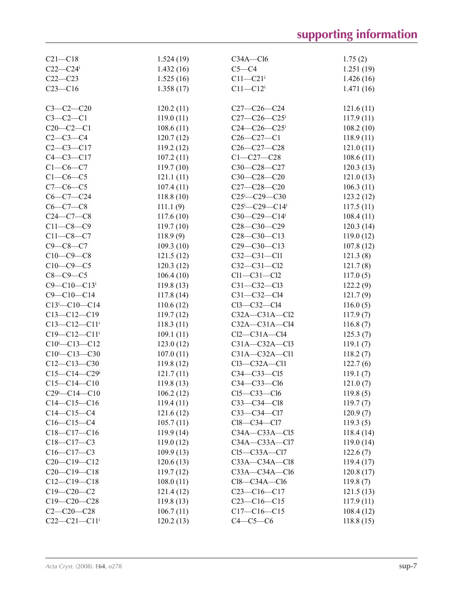| $C21 - C18$                                             | 1.524(19) | $C34A - C16$                            | 1.75(2)   |
|---------------------------------------------------------|-----------|-----------------------------------------|-----------|
| $C22-C24$ i                                             | 1.432(16) | $C5 - C4$                               | 1.251(19) |
| $C22-C23$                                               | 1.525(16) | $C11 - C21$ <sup>i</sup>                | 1.426(16) |
| $C23-C16$                                               | 1.358(17) | $C11 - C12$ <sup>i</sup>                | 1.471(16) |
|                                                         |           |                                         |           |
| $C3-C2-C20$                                             | 120.2(11) | $C27-C26-C24$                           | 121.6(11) |
| $C3-C2-C1$                                              | 119.0(11) | $C27-C26-C25$ <sup>i</sup>              | 117.9(11) |
| $C20-C2-C1$                                             | 108.6(11) | $C24 - C26 - C25$                       | 108.2(10) |
| $C2-C3-C4$                                              | 120.7(12) | $C26-C27-C1$                            | 118.9(11) |
| $C2-C3-C17$                                             | 119.2(12) | $C26 - C27 - C28$                       | 121.0(11) |
| $C4 - C3 - C17$                                         | 107.2(11) | $C1 - C27 - C28$                        | 108.6(11) |
| $C1-C6-C7$                                              | 119.7(10) | C30-C28-C27                             | 120.3(13) |
| $C1-C6-C5$                                              | 121.1(11) | C30-C28-C20                             | 121.0(13) |
| $C7 - C6 - C5$                                          | 107.4(11) | $C27 - C28 - C20$                       | 106.3(11) |
| $C6-C7-C24$                                             | 118.8(10) | $C25 - C29 - C30$                       | 123.2(12) |
| $C6-C7-C8$                                              | 111.1(9)  | $C25^{\text{i}} - C29 - C14^{\text{i}}$ | 117.5(11) |
| $C24-C7-C8$                                             | 117.6(10) | $C30-C29-C14$ <sup>i</sup>              | 108.4(11) |
| $C11 - C8 - C9$                                         | 119.7(10) | $C28 - C30 - C29$                       | 120.3(14) |
| $C11 - C8 - C7$                                         | 118.9(9)  | $C28-C30-C13$                           | 119.0(12) |
| $C9 - C8 - C7$                                          | 109.3(10) | $C29 - C30 - C13$                       | 107.8(12) |
| $C10-C9-C8$                                             | 121.5(12) | $C32 - C31 - C11$                       | 121.3(8)  |
| $C10-C9-C5$                                             | 120.3(12) | $C32 - C31 - C12$                       | 121.7(8)  |
| $C8-C9-C5$                                              | 106.4(10) | $Cl1-C31-C12$                           | 117.0(5)  |
| $C9 - C10 - C13$ <sup>i</sup>                           | 119.8(13) | $C31 - C32 - C13$                       | 122.2(9)  |
| $C9 - C10 - C14$                                        | 117.8(14) | $C31 - C32 - C14$                       | 121.7(9)  |
| $C13$ <sup>i</sup> - $C10$ <sup>-<math>C14</math></sup> | 110.6(12) | $Cl3-C32-C14$                           | 116.0(5)  |
| $C13 - C12 - C19$                                       | 119.7(12) | $C32A - C31A - C12$                     | 117.9(7)  |
| $C13 - C12 - C11$ <sup>i</sup>                          | 118.3(11) | $C32A - C31A - C14$                     | 116.8(7)  |
| $C19 - C12 - C11$ <sup>i</sup>                          | 109.1(11) | $Cl2-C31A-C14$                          | 125.3(7)  |
| $C10^i$ - $C13$ - $C12$                                 | 123.0(12) | $C31A - C32A - C13$                     | 119.1(7)  |
| $C10^{i} - C13 - C30$                                   | 107.0(11) | $C31A - C32A - C11$                     | 118.2(7)  |
| $C12-C13-C30$                                           | 119.8(12) | $Cl3-C32A-C11$                          | 122.7(6)  |
| $C15-C14-C29$ i                                         | 121.7(11) | $C34-C33-C15$                           | 119.1(7)  |
| $C15-C14-C10$                                           | 119.8(13) | $C34 - C33 - C16$                       | 121.0(7)  |
| $C29^i$ - $C14$ - $C10$                                 | 106.2(12) | $C15-C33-C16$                           | 119.8(5)  |
| $C14 - C15 - C16$                                       | 119.4(11) | $C33-C34-C18$                           | 119.7(7)  |
| $C14 - C15 - C4$                                        | 121.6(12) | C33-C34-Cl7                             | 120.9(7)  |
| $C16-C15-C4$                                            | 105.7(11) | Cl8-C34-Cl7                             | 119.3(5)  |
| $C18-C17-C16$                                           | 119.9(14) | $C34A - C33A - C15$                     | 118.4(14) |
| $C18 - C17 - C3$                                        | 119.0(12) | $C34A - C33A - C17$                     | 119.0(14) |
| $C16 - C17 - C3$                                        | 109.9(13) | $Cl5-C33A-C17$                          | 122.6(7)  |
| $C20-C19-C12$                                           | 120.6(13) | $C33A - C34A - C18$                     | 119.4(17) |
| $C20-C19-C18$                                           | 119.7(12) | $C33A - C34A - C16$                     | 120.8(17) |
| $C12-C19-C18$                                           | 108.0(11) | $Cl8-C34A-C16$                          | 119.8(7)  |
| $C19 - C20 - C2$                                        | 121.4(12) | $C23-C16-C17$                           | 121.5(13) |
| $C19 - C20 - C28$                                       | 119.8(13) | $C23-C16-C15$                           | 117.9(11) |
| $C2 - C20 - C28$                                        | 106.7(11) | $C17-C16-C15$                           | 108.4(12) |
| $C22-C21-C11$ i                                         | 120.2(13) | $C4-C5-C6$                              | 118.8(15) |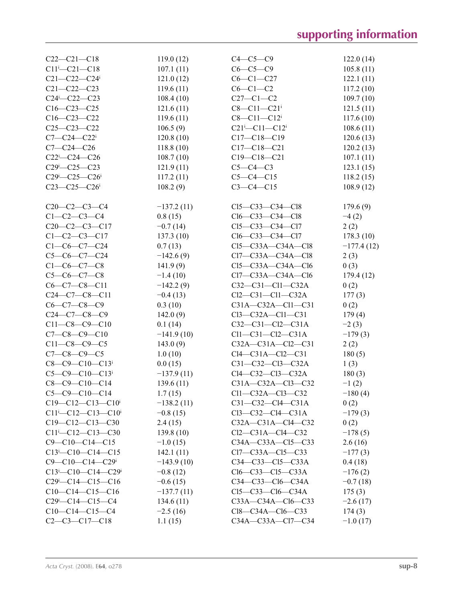| $C22-C21-C18$                                                   | 119.0(12)    | $C4-C5-C9$                    | 122.0(14)    |
|-----------------------------------------------------------------|--------------|-------------------------------|--------------|
| $C11$ <sup>i</sup> - $C21$ - $C18$                              | 107.1(11)    | $C6-C5-C9$                    | 105.8(11)    |
| $C21 - C22 - C24$                                               | 121.0(12)    | $C6 - C1 - C27$               | 122.1(11)    |
| $C21 - C22 - C23$                                               | 119.6(11)    | $C6-C1-C2$                    | 117.2(10)    |
| $C24$ <sup>i</sup> - $C22$ - $C23$                              | 108.4(10)    | $C27-C1-C2$                   | 109.7(10)    |
| $C16-C23-C25$                                                   | 121.6(11)    | $C8 - C11 - C21$ <sup>i</sup> | 121.5(11)    |
| $C16 - C23 - C22$                                               | 119.6(11)    | $C8 - C11 - C12$ <sup>i</sup> | 117.6(10)    |
| $C25 - C23 - C22$                                               | 106.5(9)     | $C21^{i} - C11 - C12^{i}$     | 108.6(11)    |
| $C7 - C24 - C22$                                                | 120.8(10)    | $C17 - C18 - C19$             | 120.6(13)    |
| $C7 - C24 - C26$                                                | 118.8(10)    | $C17 - C18 - C21$             | 120.2(13)    |
| $C22i-C24-C26$                                                  | 108.7(10)    | $C19 - C18 - C21$             | 107.1(11)    |
| $C29 - C25 - C23$                                               | 121.9(11)    | $C5-C4-C3$                    | 123.1(15)    |
| $C29$ <sup>i</sup> - $C25$ - $C26$ <sup>i</sup>                 | 117.2(11)    | $C5-C4-C15$                   | 118.2(15)    |
| $C23 - C25 - C26$                                               | 108.2(9)     | $C3 - C4 - C15$               | 108.9(12)    |
|                                                                 |              |                               |              |
| $C20-C2-C3-C4$                                                  | $-137.2(11)$ | $Cl5-C33-C34-C18$             | 179.6(9)     |
| $C1-C2-C3-C4$                                                   | 0.8(15)      | $Cl6-C33-C34-C18$             | $-4(2)$      |
| $C20-C2-C3-C17$                                                 | $-0.7(14)$   | $Cl5-C33-C34-C17$             | 2(2)         |
| $C1 - C2 - C3 - C17$                                            | 137.3(10)    | $Cl6-C33-C34-C17$             | 178.3(10)    |
| $C1-C6-C7-C24$                                                  | 0.7(13)      | $Cl5-C33A-C34A-C18$           | $-177.4(12)$ |
| $C5-C6-C7-C24$                                                  | $-142.6(9)$  | Cl7-C33A-C34A-Cl8             | 2(3)         |
| $C1 - C6 - C7 - C8$                                             | 141.9(9)     | $Cl5-C33A-C34A-C16$           | 0(3)         |
| $C5-C6-C7-C8$                                                   | $-1.4(10)$   | $Cl7-C33A-C34A-C16$           | 179.4(12)    |
| $C6-C7-C8-C11$                                                  | $-142.2(9)$  | $C32-C31-C11-C32A$            | 0(2)         |
| $C24-C7-C8-C11$                                                 | $-0.4(13)$   | $Cl2-C31-C11-C32A$            | 177(3)       |
| $C6-C7-C8-C9$                                                   | 0.3(10)      | $C31A - C32A - C11 - C31$     | 0(2)         |
| $C24-C7-C8-C9$                                                  | 142.0(9)     | $Cl3-C32A-C11-C31$            | 179(4)       |
| $C11-C8-C9-C10$                                                 | 0.1(14)      | $C32-C31-C12-C31A$            | $-2(3)$      |
| $C7-C8-C9-C10$                                                  | $-141.9(10)$ | $Cl1-C31-C12-C31A$            | $-179(3)$    |
| $C11-C8-C9-C5$                                                  | 143.0(9)     | $C32A - C31A - C12 - C31$     | 2(2)         |
| $C7 - C8 - C9 - C5$                                             | 1.0(10)      | $Cl4-C31A-C12-C31$            | 180(5)       |
| $C8-C9-C10-C13$ <sup>i</sup>                                    | 0.0(15)      | $C31 - C32 - C13 - C32A$      | 1(3)         |
| $C5 - C9 - C10 - C13$                                           | $-137.9(11)$ | Cl4-C32-Cl3-C32A              | 180(3)       |
| $C8-C9-C10-C14$                                                 | 139.6(11)    | C31A-C32A-Cl3-C32             | $-1(2)$      |
| $C5-C9-C10-C14$                                                 | 1.7(15)      | Cl1-C32A-Cl3-C32              | $-180(4)$    |
| $C19-C12-C13-C10$ <sup>i</sup>                                  | $-138.2(11)$ | $C31-C32-C14-C31A$            | 0(2)         |
| $C11^{i} - C12 - C13 - C10^{i}$                                 | $-0.8(15)$   | $Cl3-C32-C14-C31A$            | $-179(3)$    |
| $C19-C12-C13-C30$                                               | 2.4(15)      | $C32A - C31A - C14 - C32$     | 0(2)         |
| $C11$ i- $C12$ - $C13$ - $C30$                                  | 139.8(10)    | $Cl2-C31A-C14-C32$            | $-178(5)$    |
| $C9 - C10 - C14 - C15$                                          | $-1.0(15)$   | C34A-C33A-C15-C33             | 2.6(16)      |
| $C13^i$ - $C10$ - $C14$ - $C15$                                 | 142.1(11)    | $Cl7-C33A-C15-C33$            | $-177(3)$    |
| $C9 - C10 - C14 - C29$                                          | $-143.9(10)$ | $C34 - C33 - C15 - C33A$      | 0.4(18)      |
| $C13^{\text{i}} - C10 - C14 - C29^{\text{i}}$                   | $-0.8(12)$   | $Cl6-C33-C15-C33A$            | $-176(2)$    |
| $C29$ <sup>i</sup> - $C14$ <sup>-<math>C15</math></sup> - $C16$ | $-0.6(15)$   | $C34 - C33 - C16 - C34A$      | $-0.7(18)$   |
| $C10-C14-C15-C16$                                               | $-137.7(11)$ | $Cl5-C33-C16-C34A$            | 175(3)       |
| $C29$ <sup>i</sup> - $C14$ <sup>-<math>C15</math></sup> - $C4$  | 134.6(11)    | C33A-C34A-Cl6-C33             | $-2.6(17)$   |
| $C10-C14-C15-C4$                                                | $-2.5(16)$   | $Cl8-C34A-C16-C33$            | 174(3)       |
| $C2-C3-C17-C18$                                                 | 1.1(15)      | C34A-C33A-Cl7-C34             | $-1.0(17)$   |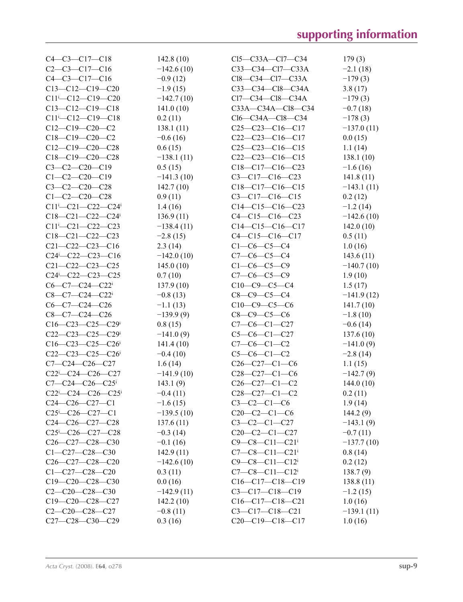| $C4 - C3 - C17 - C18$                                           | 142.8(10)    | $Cl5-C33A-C17-C34$                 | 179(3)       |
|-----------------------------------------------------------------|--------------|------------------------------------|--------------|
| $C2-C3-C17-C16$                                                 | $-142.6(10)$ | C33-C34-Cl7-C33A                   | $-2.1(18)$   |
| $C4-C3-C17-C16$                                                 | $-0.9(12)$   | $Cl8-C34-C17-C33A$                 | $-179(3)$    |
| $C13-C12-C19-C20$                                               | $-1.9(15)$   | C33-C34-Cl8-C34A                   | 3.8(17)      |
| $C11$ <sup>i</sup> - $C12$ - $C19$ - $C20$                      | $-142.7(10)$ | $Cl7-C34-C18-C34A$                 | $-179(3)$    |
| $C13-C12-C19-C18$                                               | 141.0(10)    | C33A-C34A-C18-C34                  | $-0.7(18)$   |
| $C11^{i} - C12 - C19 - C18$                                     | 0.2(11)      | $Cl6-C34A-C18-C34$                 | $-178(3)$    |
| $C12-C19-C20-C2$                                                | 138.1(11)    | $C25-C23-C16-C17$                  | $-137.0(11)$ |
| $C18-C19-C20-C2$                                                | $-0.6(16)$   | $C22-C23-C16-C17$                  | 0.0(15)      |
| $C12-C19-C20-C28$                                               | 0.6(15)      | $C25-C23-C16-C15$                  | 1.1(14)      |
| $C18-C19-C20-C28$                                               | $-138.1(11)$ | $C22-C23-C16-C15$                  | 138.1 (10)   |
| $C3-C2-C20-C19$                                                 | 0.5(15)      | $C18-C17-C16-C23$                  | $-1.6(16)$   |
| $C1-C2-C20-C19$                                                 | $-141.3(10)$ | $C3-C17-C16-C23$                   | 141.8(11)    |
| $C3-C2-C20-C28$                                                 | 142.7(10)    | $C18-C17-C16-C15$                  | $-143.1(11)$ |
| $C1 - C2 - C20 - C28$                                           | 0.9(11)      | $C3-C17-C16-C15$                   | 0.2(12)      |
| $C11$ i- $C21$ - $C22$ - $C24$ <sup>i</sup>                     | 1.4(16)      | $C14-C15-C16-C23$                  | $-1.2(14)$   |
| $C18-C21-C22-C24$                                               | 136.9(11)    | $C4 - C15 - C16 - C23$             | $-142.6(10)$ |
| $C11^{i} - C21 - C22 - C23$                                     | $-138.4(11)$ | $C14-C15-C16-C17$                  | 142.0(10)    |
| $C18-C21-C22-C23$                                               | $-2.8(15)$   | $C4 - C15 - C16 - C17$             | 0.5(11)      |
| $C21 - C22 - C23 - C16$                                         | 2.3(14)      | $C1-C6-C5-C4$                      | 1.0(16)      |
| $C24$ <sup>i</sup> - $C22$ - $C23$ - $C16$                      | $-142.0(10)$ | $C7-C6-C5-C4$                      | 143.6(11)    |
| $C21 - C22 - C23 - C25$                                         | 145.0(10)    | $C1-C6-C5-C9$                      | $-140.7(10)$ |
| $C24$ <sup>i</sup> - $C22$ <sup>-<math>C23</math></sup> - $C25$ | 0.7(10)      | $C7-C6-C5-C9$                      | 1.9(10)      |
| $C6-C7-C24-C22$ <sup>i</sup>                                    |              |                                    |              |
|                                                                 | 137.9(10)    | $C10-C9-C5-C4$                     | 1.5(17)      |
| $C8-C7-C24-C22$ <sup>i</sup>                                    | $-0.8(13)$   | $C8 - C9 - C5 - C4$                | $-141.9(12)$ |
| $C6-C7-C24-C26$                                                 | $-1.1(13)$   | $C10-C9-C5-C6$                     | 141.7(10)    |
| $C8-C7-C24-C26$                                                 | $-139.9(9)$  | $C8-C9-C5-C6$                      | $-1.8(10)$   |
| $C16-C23-C25-C29$ i                                             | 0.8(15)      | $C7-C6-C1-C27$                     | $-0.6(14)$   |
| $C22-C23-C25-C29$ i                                             | $-141.0(9)$  | $C5-C6-C1-C27$                     | 137.6(10)    |
| $C16-C23-C25-C26$                                               | 141.4(10)    | $C7-C6-C1-C2$                      | $-141.0(9)$  |
| $C22-C23-C25-C26$                                               | $-0.4(10)$   | $C5-C6-C1-C2$                      | $-2.8(14)$   |
| $C7 - C24 - C26 - C27$                                          | 1.6(14)      | $C26-C27-C1-C6$                    | 1.1(15)      |
| $C22^{i}$ - $C24$ - $C26$ - $C27$                               | $-141.9(10)$ | $C28-C27-C1-C6$                    | $-142.7(9)$  |
| $C7 - C24 - C26 - C25$                                          | 143.1(9)     | $C26-C27-C1-C2$                    | 144.0(10)    |
| $C22^{i}$ - $C24$ - $C26$ - $C25^{i}$                           | $-0.4(11)$   | $C28-C27-C1-C2$                    | 0.2(11)      |
| $C24-C26-C27-C1$                                                | $-1.6(15)$   | $C3-C2-C1-C6$                      | 1.9(14)      |
| $C25^{\text{i}}$ - $C26$ - $C27$ - $C1$                         | $-139.5(10)$ | $C20-C2-C1-C6$                     | 144.2(9)     |
| $C24-C26-C27-C28$                                               | 137.6(11)    | $C3-C2-C1-C27$                     | $-143.1(9)$  |
| $C25 - C26 - C27 - C28$                                         | $-0.3(14)$   | $C20-C2-C1-C27$                    | $-0.7(11)$   |
| $C26-C27-C28-C30$                                               | $-0.1(16)$   | $C9 - C8 - C11 - C21$              | $-137.7(10)$ |
| $C1 - C27 - C28 - C30$                                          | 142.9(11)    | $C7-C8-C11-C21$ <sup>i</sup>       | 0.8(14)      |
| $C26-C27-C28-C20$                                               | $-142.6(10)$ | $C9 - C8 - C11 - C12$ <sup>i</sup> | 0.2(12)      |
| $C1 - C27 - C28 - C20$                                          | 0.3(11)      | $C7-C8-C11-C12$ <sup>i</sup>       | 138.7(9)     |
| $C19-C20-C28-C30$                                               | 0.0(16)      | $C16-C17-C18-C19$                  | 138.8(11)    |
| $C2-C20-C28-C30$                                                | $-142.9(11)$ | $C3 - C17 - C18 - C19$             | $-1.2(15)$   |
| $C19-C20-C28-C27$                                               | 142.2(10)    | $C16-C17-C18-C21$                  | 1.0(16)      |
| $C2-C20-C28-C27$                                                | $-0.8(11)$   | $C3 - C17 - C18 - C21$             | $-139.1(11)$ |
| C27-C28-C30-C29                                                 | 0.3(16)      | $C20-C19-C18-C17$                  | 1.0(16)      |